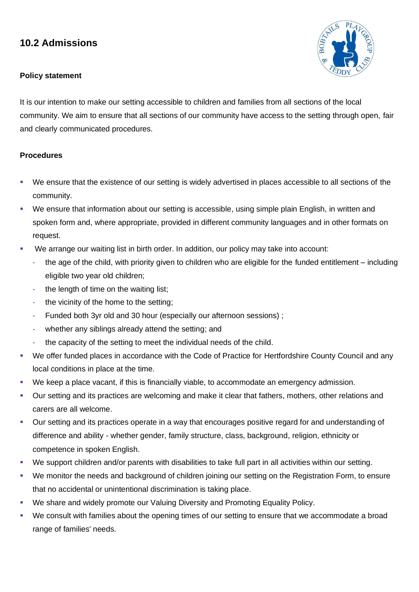## **10.2 Admissions**

## **Policy statement**



It is our intention to make our setting accessible to children and families from all sections of the local community. We aim to ensure that all sections of our community have access to the setting through open, fair and clearly communicated procedures.

## **Procedures**

- We ensure that the existence of our setting is widely advertised in places accessible to all sections of the community.
- We ensure that information about our setting is accessible, using simple plain English, in written and spoken form and, where appropriate, provided in different community languages and in other formats on request.
- We arrange our waiting list in birth order. In addition, our policy may take into account:
	- the age of the child, with priority given to children who are eligible for the funded entitlement including eligible two year old children;
	- the length of time on the waiting list:
	- the vicinity of the home to the setting;
	- Funded both 3yr old and 30 hour (especially our afternoon sessions);
	- whether any siblings already attend the setting; and
	- the capacity of the setting to meet the individual needs of the child.
- We offer funded places in accordance with the Code of Practice for Hertfordshire County Council and any local conditions in place at the time.
- We keep a place vacant, if this is financially viable, to accommodate an emergency admission.
- Our setting and its practices are welcoming and make it clear that fathers, mothers, other relations and carers are all welcome.
- Our setting and its practices operate in a way that encourages positive regard for and understanding of difference and ability - whether gender, family structure, class, background, religion, ethnicity or competence in spoken English.
- We support children and/or parents with disabilities to take full part in all activities within our setting.
- We monitor the needs and background of children joining our setting on the Registration Form, to ensure that no accidental or unintentional discrimination is taking place.
- We share and widely promote our Valuing Diversity and Promoting Equality Policy.
- We consult with families about the opening times of our setting to ensure that we accommodate a broad range of families' needs.